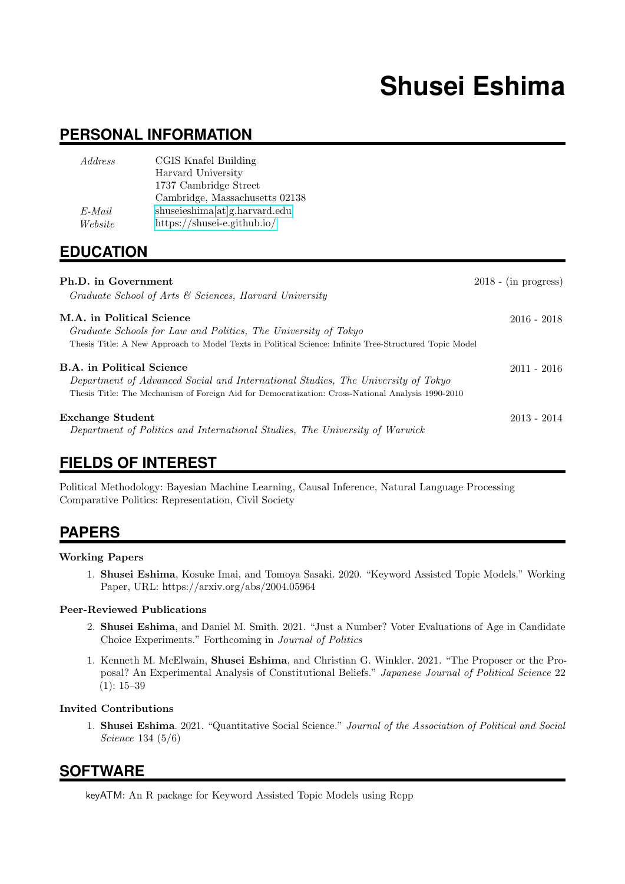# **Shusei Eshima**

# **PERSONAL INFORMATION**

| Address   | CGIS Knafel Building           |
|-----------|--------------------------------|
|           | Harvard University             |
|           | 1737 Cambridge Street          |
|           | Cambridge, Massachusetts 02138 |
| $E$ -Mail | shuseieshima[at]g.harvard.edu  |
| Website   | https://shusei-e.github.io/    |

# **EDUCATION**

| Ph.D. in Government<br>Graduate School of Arts & Sciences, Harvard University                                                                                                                                             | $2018 - (in progress)$ |
|---------------------------------------------------------------------------------------------------------------------------------------------------------------------------------------------------------------------------|------------------------|
| M.A. in Political Science<br>Graduate Schools for Law and Politics, The University of Tokyo<br>Thesis Title: A New Approach to Model Texts in Political Science: Infinite Tree-Structured Topic Model                     | $2016 - 2018$          |
| <b>B.A.</b> in Political Science<br>Department of Advanced Social and International Studies, The University of Tokyo<br>Thesis Title: The Mechanism of Foreign Aid for Democratization: Cross-National Analysis 1990-2010 | $2011 - 2016$          |
| <b>Exchange Student</b><br>Department of Politics and International Studies, The University of Warwick                                                                                                                    | $2013 - 2014$          |

# **FIELDS OF INTEREST**

Political Methodology: Bayesian Machine Learning, Causal Inference, Natural Language Processing Comparative Politics: Representation, Civil Society

# **PAPERS**

#### Working Papers

1. Shusei Eshima, Kosuke Imai, and Tomoya Sasaki. 2020. "Keyword Assisted Topic Models." Working Paper, URL: https://arxiv.org/abs/2004.05964

#### Peer-Reviewed Publications

- 2. Shusei Eshima, and Daniel M. Smith. 2021. "Just a Number? Voter Evaluations of Age in Candidate Choice Experiments." Forthcoming in Journal of Politics
- 1. Kenneth M. McElwain, Shusei Eshima, and Christian G. Winkler. 2021. "The Proposer or the Proposal? An Experimental Analysis of Constitutional Beliefs." Japanese Journal of Political Science 22  $(1): 15-39$

#### Invited Contributions

1. Shusei Eshima. 2021. "Quantitative Social Science." Journal of the Association of Political and Social Science 134 (5/6)

# **SOFTWARE**

keyATM: An R package for Keyword Assisted Topic Models using Rcpp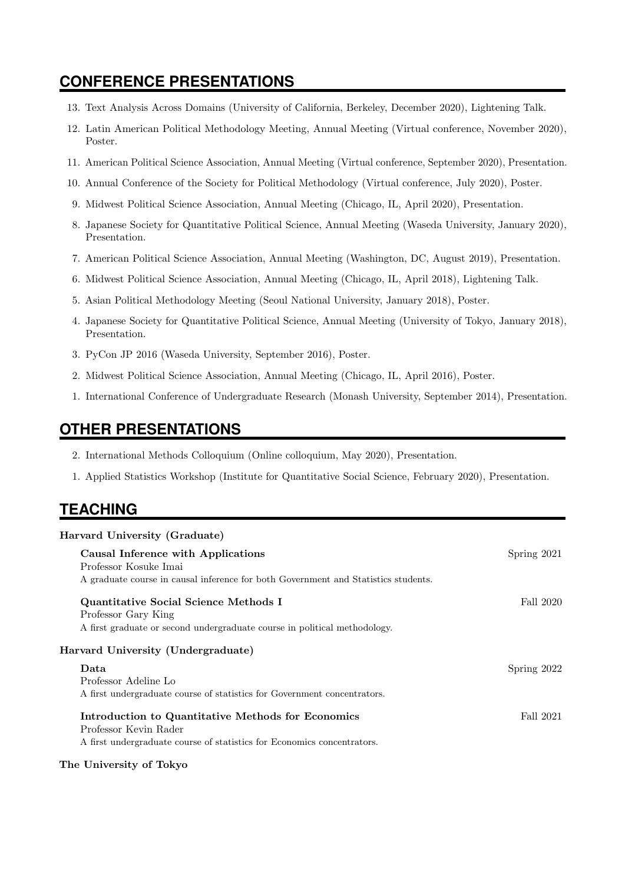# **CONFERENCE PRESENTATIONS**

- 13. Text Analysis Across Domains (University of California, Berkeley, December 2020), Lightening Talk.
- 12. Latin American Political Methodology Meeting, Annual Meeting (Virtual conference, November 2020), Poster.
- 11. American Political Science Association, Annual Meeting (Virtual conference, September 2020), Presentation.
- 10. Annual Conference of the Society for Political Methodology (Virtual conference, July 2020), Poster.
- 9. Midwest Political Science Association, Annual Meeting (Chicago, IL, April 2020), Presentation.
- 8. Japanese Society for Quantitative Political Science, Annual Meeting (Waseda University, January 2020), Presentation.
- 7. American Political Science Association, Annual Meeting (Washington, DC, August 2019), Presentation.
- 6. Midwest Political Science Association, Annual Meeting (Chicago, IL, April 2018), Lightening Talk.
- 5. Asian Political Methodology Meeting (Seoul National University, January 2018), Poster.
- 4. Japanese Society for Quantitative Political Science, Annual Meeting (University of Tokyo, January 2018), Presentation.
- 3. PyCon JP 2016 (Waseda University, September 2016), Poster.
- 2. Midwest Political Science Association, Annual Meeting (Chicago, IL, April 2016), Poster.
- 1. International Conference of Undergraduate Research (Monash University, September 2014), Presentation.

### **OTHER PRESENTATIONS**

- 2. International Methods Colloquium (Online colloquium, May 2020), Presentation.
- 1. Applied Statistics Workshop (Institute for Quantitative Social Science, February 2020), Presentation.

### **TEACHING**

| Harvard University (Graduate)                                                      |             |
|------------------------------------------------------------------------------------|-------------|
| Causal Inference with Applications                                                 | Spring 2021 |
| Professor Kosuke Imai                                                              |             |
| A graduate course in causal inference for both Government and Statistics students. |             |
| Quantitative Social Science Methods I                                              | Fall 2020   |
| Professor Gary King                                                                |             |
| A first graduate or second undergraduate course in political methodology.          |             |
| Harvard University (Undergraduate)                                                 |             |
| Data                                                                               | Spring 2022 |
| Professor Adeline Lo                                                               |             |
| A first undergraduate course of statistics for Government concentrators.           |             |
| Introduction to Quantitative Methods for Economics                                 | Fall 2021   |
| Professor Kevin Rader                                                              |             |
| A first undergraduate course of statistics for Economics concentrators.            |             |

#### The University of Tokyo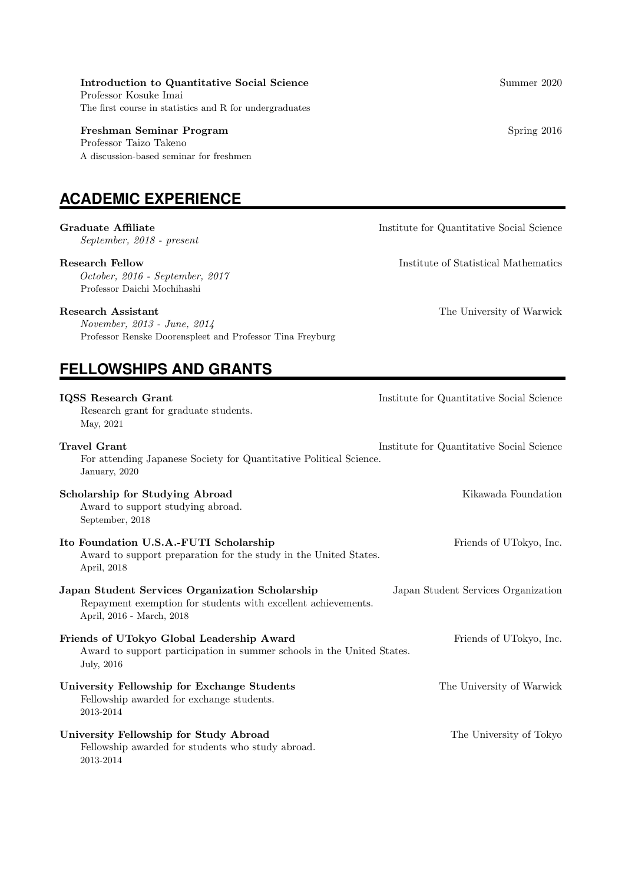#### Introduction to Quantitative Social Science Summer 2020

Professor Kosuke Imai The first course in statistics and R for undergraduates

#### Freshman Seminar Program Seminar Spring 2016

Professor Taizo Takeno A discussion-based seminar for freshmen

# **ACADEMIC EXPERIENCE**

September, 2018 - present

October, 2016 - September, 2017 Professor Daichi Mochihashi

#### Research Assistant The University of Warwick

November, 2013 - June, 2014 Professor Renske Doorenspleet and Professor Tina Freyburg

# **FELLOWSHIPS AND GRANTS**

**IQSS Research Grant Institute for Quantitative Social Science** Research grant for graduate students. May, 2021 **Travel Grant Institute For Quantitative Social Science Institute for Quantitative Social Science** For attending Japanese Society for Quantitative Political Science. January, 2020 Scholarship for Studying Abroad Kikawada Foundation Award to support studying abroad. September, 2018 Ito Foundation U.S.A.-FUTI Scholarship Friends of UTokyo, Inc. Award to support preparation for the study in the United States. April, 2018 Japan Student Services Organization Scholarship Japan Student Services Organization Repayment exemption for students with excellent achievements. April, 2016 - March, 2018 Friends of UTokyo Global Leadership Award Friends of UTokyo, Inc. Award to support participation in summer schools in the United States. July, 2016 University Fellowship for Exchange Students The University of Warwick Fellowship awarded for exchange students. 2013-2014 University Fellowship for Study Abroad The University of Tokyo Fellowship awarded for students who study abroad. 2013-2014

Graduate Affiliate **Institute in the Institute of Quantitative Social Science Institute for Quantitative Social Science** 

Research Fellow Institute of Statistical Mathematics